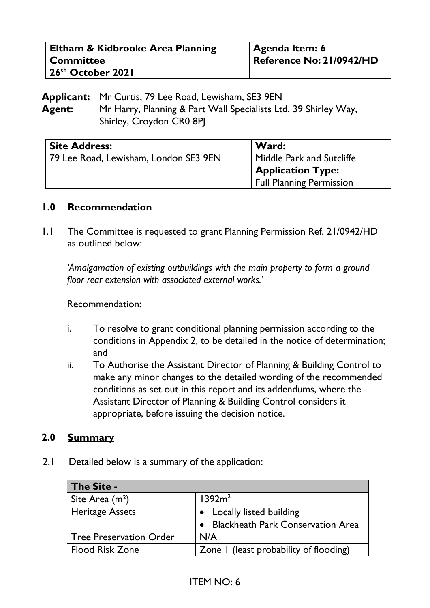| Eltham & Kidbrooke Area Planning | <b>Agenda Item: 6</b>    |
|----------------------------------|--------------------------|
| <b>Committee</b>                 | Reference No: 21/0942/HD |
| $\sqrt{26^{th}$ October 2021     |                          |

**Applicant:** Mr Curtis, 79 Lee Road, Lewisham, SE3 9EN **Agent:** Mr Harry, Planning & Part Wall Specialists Ltd, 39 Shirley Way, Shirley, Croydon CR0 8PJ

| <b>Site Address:</b>                  | Ward:                                                       |
|---------------------------------------|-------------------------------------------------------------|
| 79 Lee Road, Lewisham, London SE3 9EN | Middle Park and Sutcliffe                                   |
|                                       | <b>Application Type:</b><br><b>Full Planning Permission</b> |

### **1.0 Recommendation**

1.1 The Committee is requested to grant Planning Permission Ref. 21/0942/HD as outlined below:

*'Amalgamation of existing outbuildings with the main property to form a ground floor rear extension with associated external works.'*

Recommendation:

- i. To resolve to grant conditional planning permission according to the conditions in Appendix 2, to be detailed in the notice of determination; and
- ii. To Authorise the Assistant Director of Planning & Building Control to make any minor changes to the detailed wording of the recommended conditions as set out in this report and its addendums, where the Assistant Director of Planning & Building Control considers it appropriate, before issuing the decision notice.

### **2.0 Summary**

2.1 Detailed below is a summary of the application:

| The Site -                     |                                          |
|--------------------------------|------------------------------------------|
| Site Area $(m2)$               | 1392m <sup>2</sup>                       |
| <b>Heritage Assets</b>         | • Locally listed building                |
|                                | <b>Blackheath Park Conservation Area</b> |
| <b>Tree Preservation Order</b> | N/A                                      |
| <b>Flood Risk Zone</b>         | Zone I (least probability of flooding)   |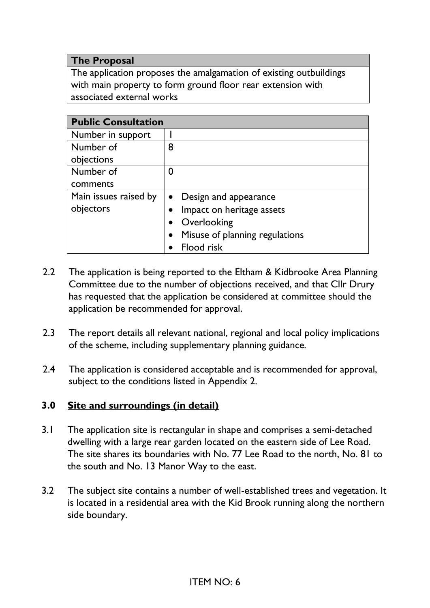### **The Proposal**

The application proposes the amalgamation of existing outbuildings with main property to form ground floor rear extension with associated external works

| <b>Public Consultation</b> |                                             |
|----------------------------|---------------------------------------------|
| Number in support          |                                             |
| Number of                  | 8                                           |
| objections                 |                                             |
| Number of                  | 0                                           |
| comments                   |                                             |
| Main issues raised by      | Design and appearance<br>$\bullet$          |
| objectors                  | Impact on heritage assets<br>$\bullet$      |
|                            | Overlooking<br>$\bullet$                    |
|                            | Misuse of planning regulations<br>$\bullet$ |
|                            | <b>Flood risk</b>                           |

- 2.2 The application is being reported to the Eltham & Kidbrooke Area Planning Committee due to the number of objections received, and that Cllr Drury has requested that the application be considered at committee should the application be recommended for approval.
- 2.3 The report details all relevant national, regional and local policy implications of the scheme, including supplementary planning guidance.
- 2.4 The application is considered acceptable and is recommended for approval, subject to the conditions listed in Appendix 2.

## **3.0 Site and surroundings (in detail)**

- 3.1 The application site is rectangular in shape and comprises a semi-detached dwelling with a large rear garden located on the eastern side of Lee Road. The site shares its boundaries with No. 77 Lee Road to the north, No. 81 to the south and No. 13 Manor Way to the east.
- 3.2 The subject site contains a number of well-established trees and vegetation. It is located in a residential area with the Kid Brook running along the northern side boundary.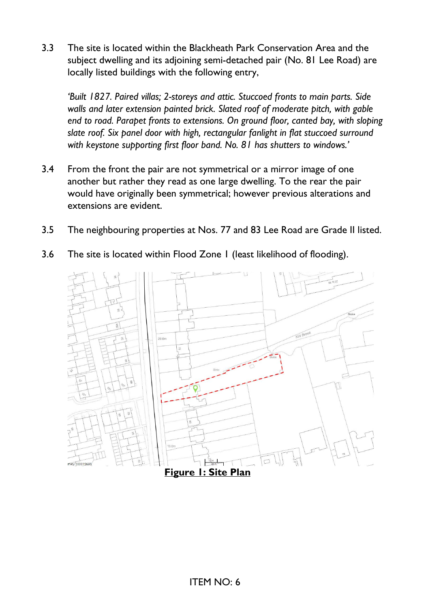3.3 The site is located within the Blackheath Park Conservation Area and the subject dwelling and its adjoining semi-detached pair (No. 81 Lee Road) are locally listed buildings with the following entry,

*'Built 1827. Paired villas; 2-storeys and attic. Stuccoed fronts to main parts. Side walls and later extension painted brick. Slated roof of moderate pitch, with gable end to road. Parapet fronts to extensions. On ground floor, canted bay, with sloping slate roof. Six panel door with high, rectangular fanlight in flat stuccoed surround with keystone supporting first floor band. No. 81 has shutters to windows.'* 

- 3.4 From the front the pair are not symmetrical or a mirror image of one another but rather they read as one large dwelling. To the rear the pair would have originally been symmetrical; however previous alterations and extensions are evident.
- 3.5 The neighbouring properties at Nos. 77 and 83 Lee Road are Grade II listed.
- 3.6 The site is located within Flood Zone 1 (least likelihood of flooding).

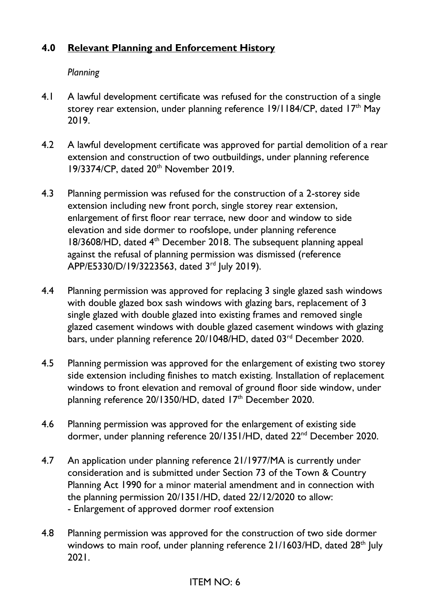# **4.0 Relevant Planning and Enforcement History**

*Planning* 

- 4.1 A lawful development certificate was refused for the construction of a single storey rear extension, under planning reference 19/1184/CP, dated 17<sup>th</sup> May 2019.
- 4.2 A lawful development certificate was approved for partial demolition of a rear extension and construction of two outbuildings, under planning reference 19/3374/CP, dated 20<sup>th</sup> November 2019.
- 4.3 Planning permission was refused for the construction of a 2-storey side extension including new front porch, single storey rear extension, enlargement of first floor rear terrace, new door and window to side elevation and side dormer to roofslope, under planning reference  $18/3608$ /HD, dated  $4<sup>th</sup>$  December 2018. The subsequent planning appeal against the refusal of planning permission was dismissed (reference APP/E5330/D/19/3223563, dated 3rd July 2019).
- 4.4 Planning permission was approved for replacing 3 single glazed sash windows with double glazed box sash windows with glazing bars, replacement of 3 single glazed with double glazed into existing frames and removed single glazed casement windows with double glazed casement windows with glazing bars, under planning reference 20/1048/HD, dated 03<sup>rd</sup> December 2020.
- 4.5 Planning permission was approved for the enlargement of existing two storey side extension including finishes to match existing. Installation of replacement windows to front elevation and removal of ground floor side window, under planning reference 20/1350/HD, dated 17<sup>th</sup> December 2020.
- 4.6 Planning permission was approved for the enlargement of existing side dormer, under planning reference 20/1351/HD, dated 22<sup>nd</sup> December 2020.
- 4.7 An application under planning reference 21/1977/MA is currently under consideration and is submitted under Section 73 of the Town & Country Planning Act 1990 for a minor material amendment and in connection with the planning permission 20/1351/HD, dated 22/12/2020 to allow: - Enlargement of approved dormer roof extension
- 4.8 Planning permission was approved for the construction of two side dormer windows to main roof, under planning reference 21/1603/HD, dated 28<sup>th</sup> July 2021.

# ITEM NO: 6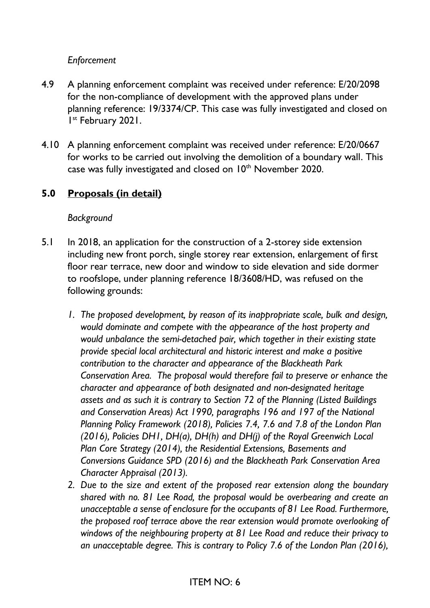## *Enforcement*

- 4.9 A planning enforcement complaint was received under reference: E/20/2098 for the non-compliance of development with the approved plans under planning reference: 19/3374/CP. This case was fully investigated and closed on I<sup>st</sup> February 2021.
- 4.10 A planning enforcement complaint was received under reference: E/20/0667 for works to be carried out involving the demolition of a boundary wall. This case was fully investigated and closed on 10<sup>th</sup> November 2020.

## **5.0 Proposals (in detail)**

### *Background*

- 5.1 In 2018, an application for the construction of a 2-storey side extension including new front porch, single storey rear extension, enlargement of first floor rear terrace, new door and window to side elevation and side dormer to roofslope, under planning reference 18/3608/HD, was refused on the following grounds:
	- *1. The proposed development, by reason of its inappropriate scale, bulk and design, would dominate and compete with the appearance of the host property and would unbalance the semi-detached pair, which together in their existing state provide special local architectural and historic interest and make a positive contribution to the character and appearance of the Blackheath Park Conservation Area. The proposal would therefore fail to preserve or enhance the character and appearance of both designated and non-designated heritage assets and as such it is contrary to Section 72 of the Planning (Listed Buildings and Conservation Areas) Act 1990, paragraphs 196 and 197 of the National Planning Policy Framework (2018), Policies 7.4, 7.6 and 7.8 of the London Plan (2016), Policies DH1, DH(a), DH(h) and DH(j) of the Royal Greenwich Local Plan Core Strategy (2014), the Residential Extensions, Basements and Conversions Guidance SPD (2016) and the Blackheath Park Conservation Area Character Appraisal (2013).*
	- *2. Due to the size and extent of the proposed rear extension along the boundary shared with no. 81 Lee Road, the proposal would be overbearing and create an unacceptable a sense of enclosure for the occupants of 81 Lee Road. Furthermore, the proposed roof terrace above the rear extension would promote overlooking of windows of the neighbouring property at 81 Lee Road and reduce their privacy to an unacceptable degree. This is contrary to Policy 7.6 of the London Plan (2016),*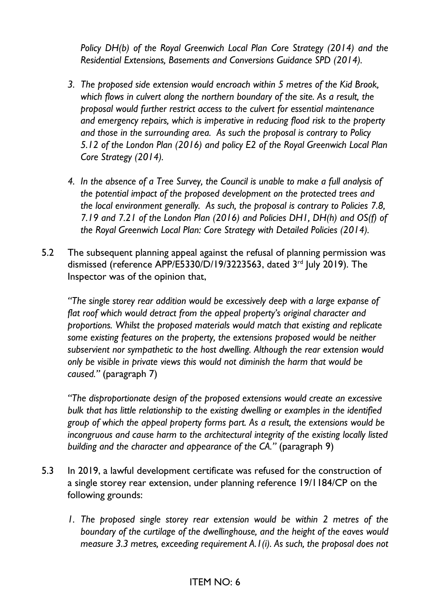*Policy DH(b) of the Royal Greenwich Local Plan Core Strategy (2014) and the Residential Extensions, Basements and Conversions Guidance SPD (2014).* 

- *3. The proposed side extension would encroach within 5 metres of the Kid Brook, which flows in culvert along the northern boundary of the site. As a result, the proposal would further restrict access to the culvert for essential maintenance and emergency repairs, which is imperative in reducing flood risk to the property and those in the surrounding area. As such the proposal is contrary to Policy 5.12 of the London Plan (2016) and policy E2 of the Royal Greenwich Local Plan Core Strategy (2014).*
- *4. In the absence of a Tree Survey, the Council is unable to make a full analysis of the potential impact of the proposed development on the protected trees and the local environment generally. As such, the proposal is contrary to Policies 7.8, 7.19 and 7.21 of the London Plan (2016) and Policies DH1, DH(h) and OS(f) of the Royal Greenwich Local Plan: Core Strategy with Detailed Policies (2014).*
- 5.2 The subsequent planning appeal against the refusal of planning permission was dismissed (reference APP/E5330/D/19/3223563, dated 3<sup>rd</sup> July 2019). The Inspector was of the opinion that,

*"The single storey rear addition would be excessively deep with a large expanse of flat roof which would detract from the appeal property's original character and proportions. Whilst the proposed materials would match that existing and replicate some existing features on the property, the extensions proposed would be neither subservient nor sympathetic to the host dwelling. Although the rear extension would only be visible in private views this would not diminish the harm that would be caused."* (paragraph 7)

*"The disproportionate design of the proposed extensions would create an excessive bulk that has little relationship to the existing dwelling or examples in the identified group of which the appeal property forms part. As a result, the extensions would be incongruous and cause harm to the architectural integrity of the existing locally listed building and the character and appearance of the CA."* (paragraph 9)

- 5.3 In 2019, a lawful development certificate was refused for the construction of a single storey rear extension, under planning reference 19/1184/CP on the following grounds:
	- *1. The proposed single storey rear extension would be within 2 metres of the boundary of the curtilage of the dwellinghouse, and the height of the eaves would measure 3.3 metres, exceeding requirement A.1(i). As such, the proposal does not*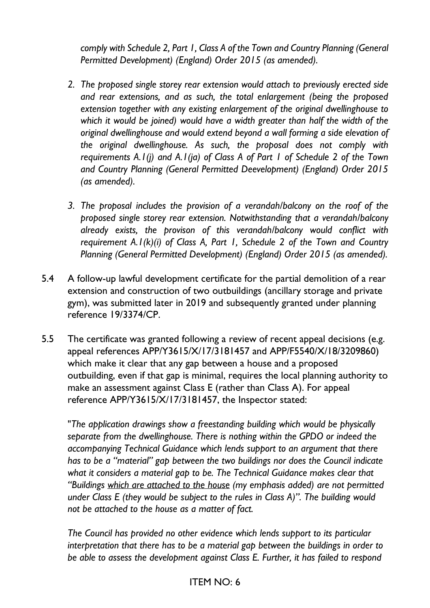*comply with Schedule 2, Part 1, Class A of the Town and Country Planning (General Permitted Development) (England) Order 2015 (as amended).* 

- *2. The proposed single storey rear extension would attach to previously erected side and rear extensions, and as such, the total enlargement (being the proposed extension together with any existing enlargement of the original dwellinghouse to which it would be joined) would have a width greater than half the width of the original dwellinghouse and would extend beyond a wall forming a side elevation of the original dwellinghouse. As such, the proposal does not comply with requirements A.1(j) and A.1(ja) of Class A of Part 1 of Schedule 2 of the Town and Country Planning (General Permitted Deevelopment) (England) Order 2015 (as amended).*
- *3. The proposal includes the provision of a verandah/balcony on the roof of the proposed single storey rear extension. Notwithstanding that a verandah/balcony already exists, the provison of this verandah/balcony would conflict with requirement A.1(k)(i) of Class A, Part 1, Schedule 2 of the Town and Country Planning (General Permitted Development) (England) Order 2015 (as amended).*
- 5.4 A follow-up lawful development certificate for the partial demolition of a rear extension and construction of two outbuildings (ancillary storage and private gym), was submitted later in 2019 and subsequently granted under planning reference 19/3374/CP.
- 5.5 The certificate was granted following a review of recent appeal decisions (e.g. appeal references APP/Y3615/X/17/3181457 and APP/F5540/X/18/3209860) which make it clear that any gap between a house and a proposed outbuilding, even if that gap is minimal, requires the local planning authority to make an assessment against Class E (rather than Class A). For appeal reference APP/Y3615/X/17/3181457, the Inspector stated:

"*The application drawings show a freestanding building which would be physically separate from the dwellinghouse. There is nothing within the GPDO or indeed the accompanying Technical Guidance which lends support to an argument that there has to be a "material" gap between the two buildings nor does the Council indicate what it considers a material gap to be. The Technical Guidance makes clear that "Buildings which are attached to the house (my emphasis added) are not permitted under Class E (they would be subject to the rules in Class A)". The building would not be attached to the house as a matter of fact.* 

*The Council has provided no other evidence which lends support to its particular interpretation that there has to be a material gap between the buildings in order to be able to assess the development against Class E. Further, it has failed to respond*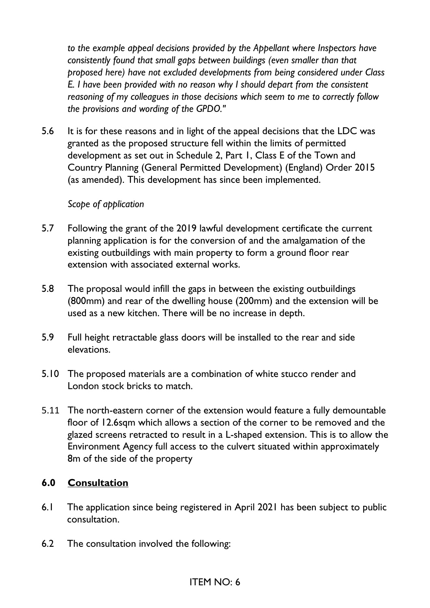*to the example appeal decisions provided by the Appellant where Inspectors have consistently found that small gaps between buildings (even smaller than that proposed here) have not excluded developments from being considered under Class E. I have been provided with no reason why I should depart from the consistent reasoning of my colleagues in those decisions which seem to me to correctly follow the provisions and wording of the GPDO."* 

5.6 It is for these reasons and in light of the appeal decisions that the LDC was granted as the proposed structure fell within the limits of permitted development as set out in Schedule 2, Part 1, Class E of the Town and Country Planning (General Permitted Development) (England) Order 2015 (as amended). This development has since been implemented.

#### *Scope of application*

- 5.7 Following the grant of the 2019 lawful development certificate the current planning application is for the conversion of and the amalgamation of the existing outbuildings with main property to form a ground floor rear extension with associated external works.
- 5.8 The proposal would infill the gaps in between the existing outbuildings (800mm) and rear of the dwelling house (200mm) and the extension will be used as a new kitchen. There will be no increase in depth.
- 5.9 Full height retractable glass doors will be installed to the rear and side elevations.
- 5.10 The proposed materials are a combination of white stucco render and London stock bricks to match.
- 5.11 The north-eastern corner of the extension would feature a fully demountable floor of 12.6sqm which allows a section of the corner to be removed and the glazed screens retracted to result in a L-shaped extension. This is to allow the Environment Agency full access to the culvert situated within approximately 8m of the side of the property

### **6.0 Consultation**

- 6.1 The application since being registered in April 2021 has been subject to public consultation.
- 6.2 The consultation involved the following: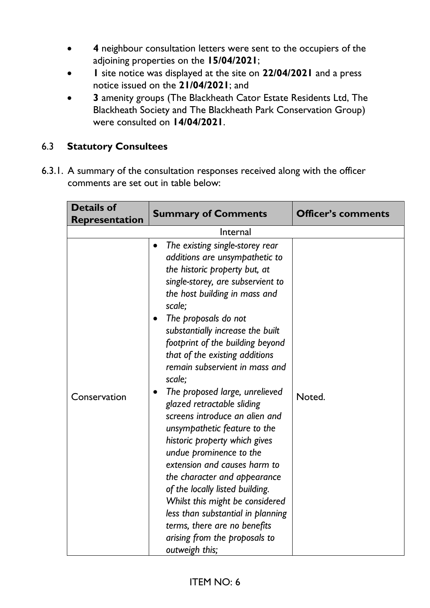- **4** neighbour consultation letters were sent to the occupiers of the adjoining properties on the **15/04/2021**;
- **1** site notice was displayed at the site on **22/04/2021** and a press notice issued on the **21/04/2021**; and
- **3** amenity groups (The Blackheath Cator Estate Residents Ltd, The Blackheath Society and The Blackheath Park Conservation Group) were consulted on **14/04/2021**.

## 6.3 **Statutory Consultees**

6.3.1. A summary of the consultation responses received along with the officer comments are set out in table below:

| <b>Details of</b>     | <b>Summary of Comments</b>                                                                                                                                                                                                                                                                                                                                                                                                                                                                                                                                                                                                                                                                                                                                                                                                                | <b>Officer's comments</b> |
|-----------------------|-------------------------------------------------------------------------------------------------------------------------------------------------------------------------------------------------------------------------------------------------------------------------------------------------------------------------------------------------------------------------------------------------------------------------------------------------------------------------------------------------------------------------------------------------------------------------------------------------------------------------------------------------------------------------------------------------------------------------------------------------------------------------------------------------------------------------------------------|---------------------------|
| <b>Representation</b> | Internal                                                                                                                                                                                                                                                                                                                                                                                                                                                                                                                                                                                                                                                                                                                                                                                                                                  |                           |
| Conservation          | The existing single-storey rear<br>$\bullet$<br>additions are unsympathetic to<br>the historic property but, at<br>single-storey, are subservient to<br>the host building in mass and<br>scale:<br>The proposals do not<br>substantially increase the built<br>footprint of the building beyond<br>that of the existing additions<br>remain subservient in mass and<br>scale;<br>The proposed large, unrelieved<br>glazed retractable sliding<br>screens introduce an alien and<br>unsympathetic feature to the<br>historic property which gives<br>undue prominence to the<br>extension and causes harm to<br>the character and appearance<br>of the locally listed building.<br>Whilst this might be considered<br>less than substantial in planning<br>terms, there are no benefits<br>arising from the proposals to<br>outweigh this; | Noted.                    |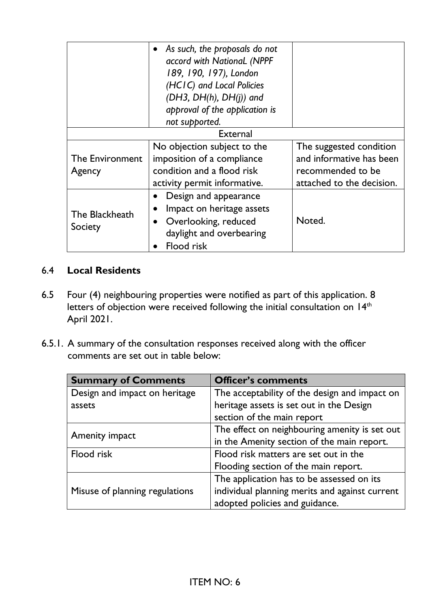|                           | • As such, the proposals do not<br>accord with National (NPPF<br>189, 190, 197), London<br>(HCIC) and Local Policies<br>$(DH3, DH(h), DH(i))$ and<br>approval of the application is |                                                                                                       |
|---------------------------|-------------------------------------------------------------------------------------------------------------------------------------------------------------------------------------|-------------------------------------------------------------------------------------------------------|
|                           | not supported.                                                                                                                                                                      |                                                                                                       |
| <b>External</b>           |                                                                                                                                                                                     |                                                                                                       |
| The Environment<br>Agency | No objection subject to the<br>imposition of a compliance<br>condition and a flood risk<br>activity permit informative.                                                             | The suggested condition<br>and informative has been<br>recommended to be<br>attached to the decision. |
| The Blackheath<br>Society | Design and appearance<br>Impact on heritage assets<br>Overlooking, reduced<br>$\bullet$<br>daylight and overbearing<br>Flood risk                                                   | Noted.                                                                                                |

# 6.4 **Local Residents**

- 6.5 Four (4) neighbouring properties were notified as part of this application. 8 letters of objection were received following the initial consultation on 14<sup>th</sup> April 2021.
- 6.5.1. A summary of the consultation responses received along with the officer comments are set out in table below:

| <b>Summary of Comments</b>     | <b>Officer's comments</b>                      |
|--------------------------------|------------------------------------------------|
| Design and impact on heritage  | The acceptability of the design and impact on  |
| assets                         | heritage assets is set out in the Design       |
|                                | section of the main report                     |
| Amenity impact                 | The effect on neighbouring amenity is set out  |
|                                | in the Amenity section of the main report.     |
| Flood risk                     | Flood risk matters are set out in the          |
|                                | Flooding section of the main report.           |
|                                | The application has to be assessed on its      |
| Misuse of planning regulations | individual planning merits and against current |
|                                | adopted policies and guidance.                 |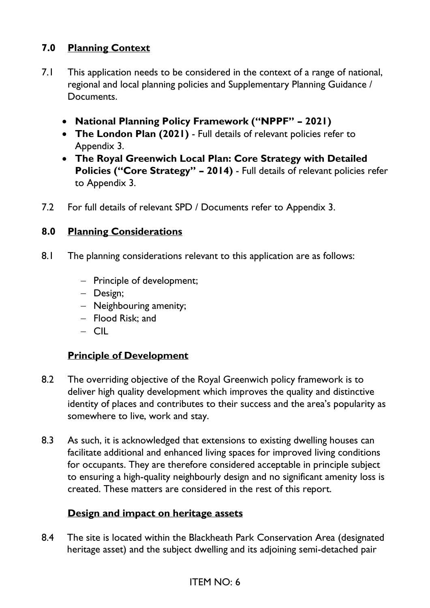# **7.0 Planning Context**

- 7.1 This application needs to be considered in the context of a range of national, regional and local planning policies and Supplementary Planning Guidance / Documents.
	- **National Planning Policy Framework ("NPPF" – 2021)**
	- **The London Plan (2021)** Full details of relevant policies refer to Appendix 3.
	- **The Royal Greenwich Local Plan: Core Strategy with Detailed Policies ("Core Strategy" – 2014)** - Full details of relevant policies refer to Appendix 3.
- 7.2 For full details of relevant SPD / Documents refer to Appendix 3.

### **8.0 Planning Considerations**

- 8.1 The planning considerations relevant to this application are as follows:
	- − Principle of development;
	- − Design;
	- − Neighbouring amenity;
	- − Flood Risk; and
	- − CIL

### **Principle of Development**

- 8.2 The overriding objective of the Royal Greenwich policy framework is to deliver high quality development which improves the quality and distinctive identity of places and contributes to their success and the area's popularity as somewhere to live, work and stay.
- 8.3 As such, it is acknowledged that extensions to existing dwelling houses can facilitate additional and enhanced living spaces for improved living conditions for occupants. They are therefore considered acceptable in principle subject to ensuring a high-quality neighbourly design and no significant amenity loss is created. These matters are considered in the rest of this report.

### **Design and impact on heritage assets**

8.4 The site is located within the Blackheath Park Conservation Area (designated heritage asset) and the subject dwelling and its adjoining semi-detached pair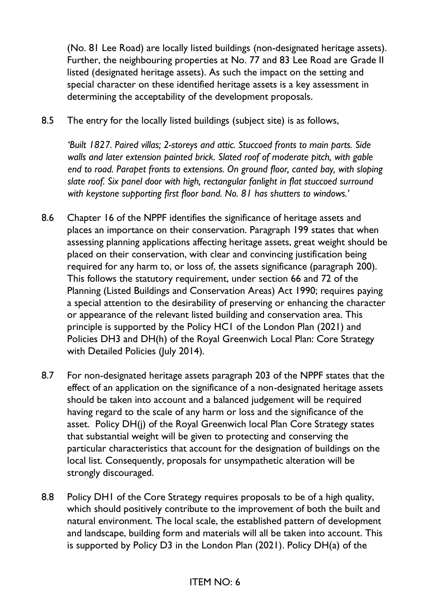(No. 81 Lee Road) are locally listed buildings (non-designated heritage assets). Further, the neighbouring properties at No. 77 and 83 Lee Road are Grade II listed (designated heritage assets). As such the impact on the setting and special character on these identified heritage assets is a key assessment in determining the acceptability of the development proposals.

8.5 The entry for the locally listed buildings (subject site) is as follows,

*'Built 1827. Paired villas; 2-storeys and attic. Stuccoed fronts to main parts. Side walls and later extension painted brick. Slated roof of moderate pitch, with gable end to road. Parapet fronts to extensions. On ground floor, canted bay, with sloping slate roof. Six panel door with high, rectangular fanlight in flat stuccoed surround with keystone supporting first floor band. No. 81 has shutters to windows.'* 

- 8.6 Chapter 16 of the NPPF identifies the significance of heritage assets and places an importance on their conservation. Paragraph 199 states that when assessing planning applications affecting heritage assets, great weight should be placed on their conservation, with clear and convincing justification being required for any harm to, or loss of, the assets significance (paragraph 200). This follows the statutory requirement, under section 66 and 72 of the Planning (Listed Buildings and Conservation Areas) Act 1990; requires paying a special attention to the desirability of preserving or enhancing the character or appearance of the relevant listed building and conservation area. This principle is supported by the Policy HC1 of the London Plan (2021) and Policies DH3 and DH(h) of the Royal Greenwich Local Plan: Core Strategy with Detailed Policies (July 2014).
- 8.7 For non-designated heritage assets paragraph 203 of the NPPF states that the effect of an application on the significance of a non-designated heritage assets should be taken into account and a balanced judgement will be required having regard to the scale of any harm or loss and the significance of the asset. Policy DH(j) of the Royal Greenwich local Plan Core Strategy states that substantial weight will be given to protecting and conserving the particular characteristics that account for the designation of buildings on the local list. Consequently, proposals for unsympathetic alteration will be strongly discouraged.
- 8.8 Policy DH1 of the Core Strategy requires proposals to be of a high quality, which should positively contribute to the improvement of both the built and natural environment. The local scale, the established pattern of development and landscape, building form and materials will all be taken into account. This is supported by Policy D3 in the London Plan (2021). Policy DH(a) of the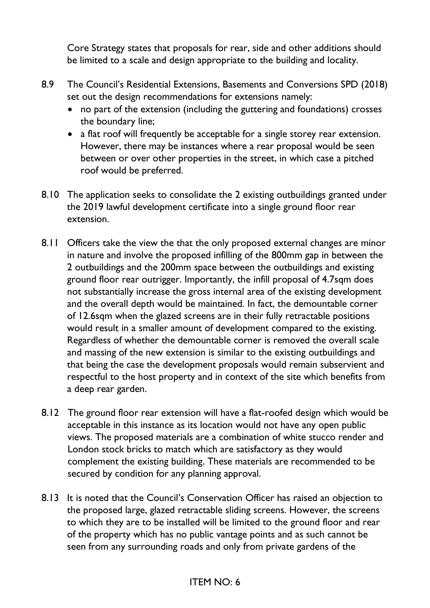Core Strategy states that proposals for rear, side and other additions should be limited to a scale and design appropriate to the building and locality.

- 8.9 The Council's Residential Extensions, Basements and Conversions SPD (2018) set out the design recommendations for extensions namely:
	- no part of the extension (including the guttering and foundations) crosses the boundary line;
	- a flat roof will frequently be acceptable for a single storey rear extension. However, there may be instances where a rear proposal would be seen between or over other properties in the street, in which case a pitched roof would be preferred.
- 8.10 The application seeks to consolidate the 2 existing outbuildings granted under the 2019 lawful development certificate into a single ground floor rear extension.
- 8.11 Officers take the view the that the only proposed external changes are minor in nature and involve the proposed infilling of the 800mm gap in between the 2 outbuildings and the 200mm space between the outbuildings and existing ground floor rear outrigger. Importantly, the infill proposal of 4.7sqm does not substantially increase the gross internal area of the existing development and the overall depth would be maintained. In fact, the demountable corner of 12.6sqm when the glazed screens are in their fully retractable positions would result in a smaller amount of development compared to the existing. Regardless of whether the demountable corner is removed the overall scale and massing of the new extension is similar to the existing outbuildings and that being the case the development proposals would remain subservient and respectful to the host property and in context of the site which benefits from a deep rear garden.
- 8.12 The ground floor rear extension will have a flat-roofed design which would be acceptable in this instance as its location would not have any open public views. The proposed materials are a combination of white stucco render and London stock bricks to match which are satisfactory as they would complement the existing building. These materials are recommended to be secured by condition for any planning approval.
- 8.13 It is noted that the Council's Conservation Officer has raised an objection to the proposed large, glazed retractable sliding screens. However, the screens to which they are to be installed will be limited to the ground floor and rear of the property which has no public vantage points and as such cannot be seen from any surrounding roads and only from private gardens of the

## ITEM NO: 6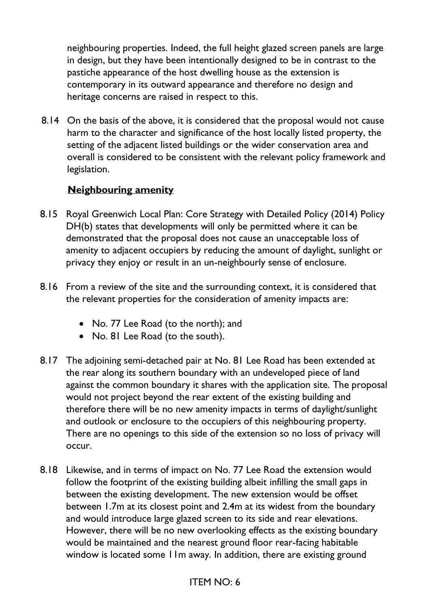neighbouring properties. Indeed, the full height glazed screen panels are large in design, but they have been intentionally designed to be in contrast to the pastiche appearance of the host dwelling house as the extension is contemporary in its outward appearance and therefore no design and heritage concerns are raised in respect to this.

8.14 On the basis of the above, it is considered that the proposal would not cause harm to the character and significance of the host locally listed property, the setting of the adjacent listed buildings or the wider conservation area and overall is considered to be consistent with the relevant policy framework and legislation.

## **Neighbouring amenity**

- 8.15 Royal Greenwich Local Plan: Core Strategy with Detailed Policy (2014) Policy DH(b) states that developments will only be permitted where it can be demonstrated that the proposal does not cause an unacceptable loss of amenity to adjacent occupiers by reducing the amount of daylight, sunlight or privacy they enjoy or result in an un-neighbourly sense of enclosure.
- 8.16 From a review of the site and the surrounding context, it is considered that the relevant properties for the consideration of amenity impacts are:
	- No. 77 Lee Road (to the north); and
	- No. 81 Lee Road (to the south).
- 8.17 The adjoining semi-detached pair at No. 81 Lee Road has been extended at the rear along its southern boundary with an undeveloped piece of land against the common boundary it shares with the application site. The proposal would not project beyond the rear extent of the existing building and therefore there will be no new amenity impacts in terms of daylight/sunlight and outlook or enclosure to the occupiers of this neighbouring property. There are no openings to this side of the extension so no loss of privacy will occur.
- 8.18 Likewise, and in terms of impact on No. 77 Lee Road the extension would follow the footprint of the existing building albeit infilling the small gaps in between the existing development. The new extension would be offset between 1.7m at its closest point and 2.4m at its widest from the boundary and would introduce large glazed screen to its side and rear elevations. However, there will be no new overlooking effects as the existing boundary would be maintained and the nearest ground floor rear-facing habitable window is located some 11m away. In addition, there are existing ground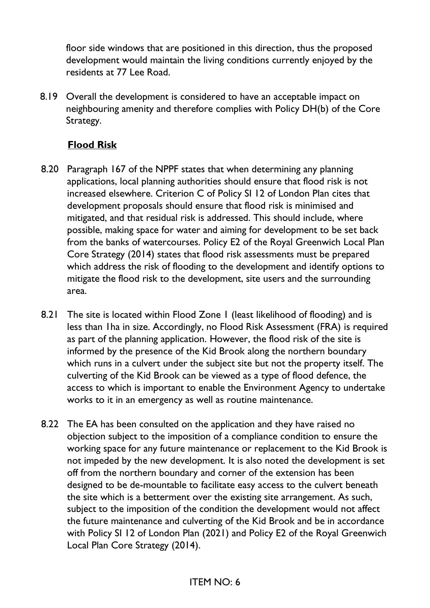floor side windows that are positioned in this direction, thus the proposed development would maintain the living conditions currently enjoyed by the residents at 77 Lee Road.

8.19 Overall the development is considered to have an acceptable impact on neighbouring amenity and therefore complies with Policy DH(b) of the Core Strategy.

## **Flood Risk**

- 8.20 Paragraph 167 of the NPPF states that when determining any planning applications, local planning authorities should ensure that flood risk is not increased elsewhere. Criterion C of Policy SI 12 of London Plan cites that development proposals should ensure that flood risk is minimised and mitigated, and that residual risk is addressed. This should include, where possible, making space for water and aiming for development to be set back from the banks of watercourses. Policy E2 of the Royal Greenwich Local Plan Core Strategy (2014) states that flood risk assessments must be prepared which address the risk of flooding to the development and identify options to mitigate the flood risk to the development, site users and the surrounding area.
- 8.21 The site is located within Flood Zone 1 (least likelihood of flooding) and is less than 1ha in size. Accordingly, no Flood Risk Assessment (FRA) is required as part of the planning application. However, the flood risk of the site is informed by the presence of the Kid Brook along the northern boundary which runs in a culvert under the subject site but not the property itself. The culverting of the Kid Brook can be viewed as a type of flood defence, the access to which is important to enable the Environment Agency to undertake works to it in an emergency as well as routine maintenance.
- 8.22 The EA has been consulted on the application and they have raised no objection subject to the imposition of a compliance condition to ensure the working space for any future maintenance or replacement to the Kid Brook is not impeded by the new development. It is also noted the development is set off from the northern boundary and corner of the extension has been designed to be de-mountable to facilitate easy access to the culvert beneath the site which is a betterment over the existing site arrangement. As such, subject to the imposition of the condition the development would not affect the future maintenance and culverting of the Kid Brook and be in accordance with Policy SI 12 of London Plan (2021) and Policy E2 of the Royal Greenwich Local Plan Core Strategy (2014).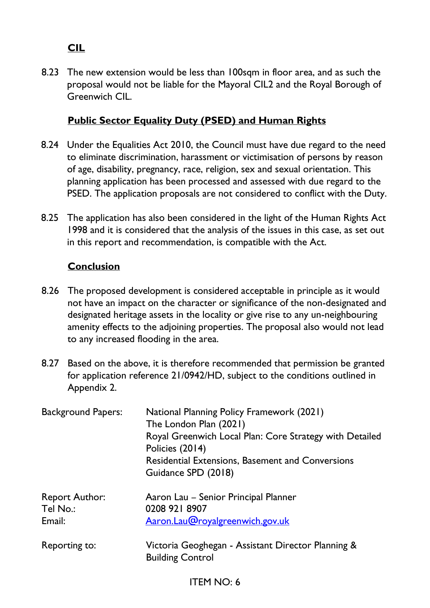# **CIL**

8.23 The new extension would be less than 100sqm in floor area, and as such the proposal would not be liable for the Mayoral CIL2 and the Royal Borough of Greenwich CIL.

## **Public Sector Equality Duty (PSED) and Human Rights**

- 8.24 Under the Equalities Act 2010, the Council must have due regard to the need to eliminate discrimination, harassment or victimisation of persons by reason of age, disability, pregnancy, race, religion, sex and sexual orientation. This planning application has been processed and assessed with due regard to the PSED. The application proposals are not considered to conflict with the Duty.
- 8.25 The application has also been considered in the light of the Human Rights Act 1998 and it is considered that the analysis of the issues in this case, as set out in this report and recommendation, is compatible with the Act.

### **Conclusion**

- 8.26 The proposed development is considered acceptable in principle as it would not have an impact on the character or significance of the non-designated and designated heritage assets in the locality or give rise to any un-neighbouring amenity effects to the adjoining properties. The proposal also would not lead to any increased flooding in the area.
- 8.27 Based on the above, it is therefore recommended that permission be granted for application reference 21/0942/HD, subject to the conditions outlined in Appendix 2.

| <b>Background Papers:</b>                   | National Planning Policy Framework (2021)<br>The London Plan (2021)<br>Royal Greenwich Local Plan: Core Strategy with Detailed<br>Policies (2014)<br><b>Residential Extensions, Basement and Conversions</b><br>Guidance SPD (2018) |
|---------------------------------------------|-------------------------------------------------------------------------------------------------------------------------------------------------------------------------------------------------------------------------------------|
| <b>Report Author:</b><br>Tel No.:<br>Email: | Aaron Lau - Senior Principal Planner<br>0208 921 8907<br>Aaron.Lau@royalgreenwich.gov.uk                                                                                                                                            |
| Reporting to:                               | Victoria Geoghegan - Assistant Director Planning &<br><b>Building Control</b>                                                                                                                                                       |